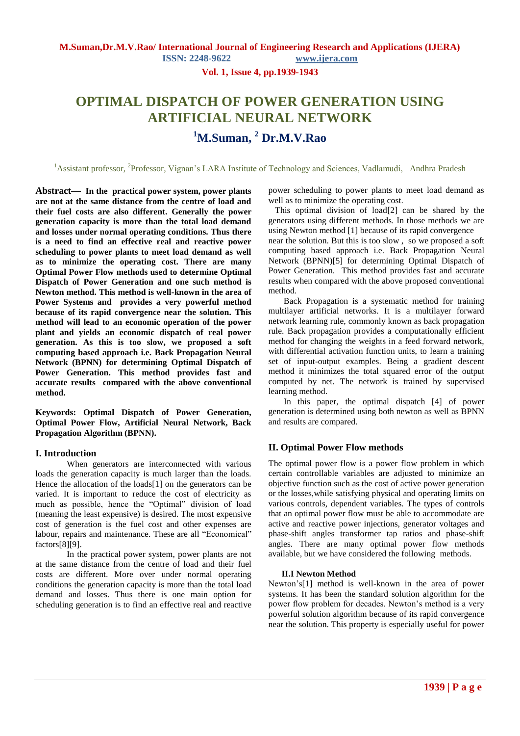**Vol. 1, Issue 4, pp.1939-1943**

# **OPTIMAL DISPATCH OF POWER GENERATION USING ARTIFICIAL NEURAL NETWORK <sup>1</sup>M.Suman, <sup>2</sup> Dr.M.V.Rao**

<sup>1</sup>Assistant professor, <sup>2</sup>Professor, Vignan's LARA Institute of Technology and Sciences, Vadlamudi, Andhra Pradesh

**Abstract***—* **In the practical power system, power plants are not at the same distance from the centre of load and their fuel costs are also different. Generally the power generation capacity is more than the total load demand and losses under normal operating conditions. Thus there is a need to find an effective real and reactive power scheduling to power plants to meet load demand as well as to minimize the operating cost. There are many Optimal Power Flow methods used to determine Optimal Dispatch of Power Generation and one such method is Newton method. This method is well-known in the area of Power Systems and provides a very powerful method because of its rapid convergence near the solution. This method will lead to an economic operation of the power plant and yields an economic dispatch of real power generation. As this is too slow, we proposed a soft computing based approach i.e. Back Propagation Neural Network (BPNN) for determining Optimal Dispatch of Power Generation. This method provides fast and accurate results compared with the above conventional method.**

**Keywords: Optimal Dispatch of Power Generation, Optimal Power Flow, Artificial Neural Network, Back Propagation Algorithm (BPNN).**

## **I. Introduction**

When generators are interconnected with various loads the generation capacity is much larger than the loads. Hence the allocation of the loads<sup>[1]</sup> on the generators can be varied. It is important to reduce the cost of electricity as much as possible, hence the "Optimal" division of load (meaning the least expensive) is desired. The most expensive cost of generation is the fuel cost and other expenses are labour, repairs and maintenance. These are all "Economical" factors[8][9].

In the practical power system, power plants are not at the same distance from the centre of load and their fuel costs are different. More over under normal operating conditions the generation capacity is more than the total load demand and losses. Thus there is one main option for scheduling generation is to find an effective real and reactive

power scheduling to power plants to meet load demand as well as to minimize the operating cost.

 This optimal division of load[2] can be shared by the generators using different methods. In those methods we are using Newton method [1] because of its rapid convergence

near the solution. But this is too slow , so we proposed a soft computing based approach i.e. Back Propagation Neural Network (BPNN)[5] for determining Optimal Dispatch of Power Generation. This method provides fast and accurate results when compared with the above proposed conventional method.

 Back Propagation is a systematic method for training multilayer artificial networks. It is a multilayer forward network learning rule, commonly known as back propagation rule. Ba**c**k propagation provides a computationally efficient method for changing the weights in a feed forward network, with differential activation function units, to learn a training set of input-output examples. Being a gradient descent method it minimizes the total squared error of the output computed by net. The network is trained by supervised learning method.

 In this paper, the optimal dispatch [4] of power generation is determined using both newton as well as BPNN and results are compared.

## **II. Optimal Power Flow methods**

The optimal power flow is a power flow problem in which certain controllable variables are adjusted to minimize an objective function such as the cost of active power generation or the losses,while satisfying physical and operating limits on various controls, dependent variables. The types of controls that an optimal power flow must be able to accommodate are active and reactive power injections, generator voltages and phase-shift angles transformer tap ratios and phase-shift angles. There are many optimal power flow methods available, but we have considered the following methods.

## **II.I Newton Method**

Newton's[1] method is well-known in the area of power systems. It has been the standard solution algorithm for the power flow problem for decades. Newton's method is a very powerful solution algorithm because of its rapid convergence near the solution. This property is especially useful for power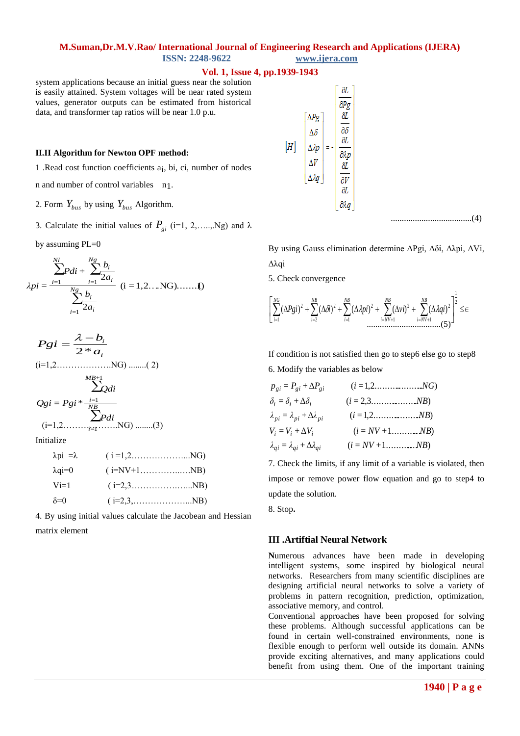#### **Vol. 1, Issue 4, pp.1939-1943**

system applications because an initial guess near the solution is easily attained. System voltages will be near rated system values, generator outputs can be estimated from historical data, and transformer tap ratios will be near 1.0 p.u.

## **II.II Algorithm for Newton OPF method:**

1 .Read cost function coefficients ai , bi, ci, number of nodes

n and number of control variables n1.

- 2. Form  $Y_{bus}$  by using  $Y_{bus}$  Algorithm.
- 3. Calculate the initial values of  $P_{gi}$  (i=1, 2,...., Ng) and  $\lambda$

by assuming PL=0

$$
\lambda p i = \frac{\sum_{i=1}^{N_l} Pdi + \sum_{i=1}^{N_g} \frac{b_i}{2a_i}}{\sum_{i=1}^{N_g} \frac{b_i}{2a_i}} \quad (i = 1, 2, ..., NG), \dots, I)
$$

$$
Pgi = \frac{\lambda - b_i}{2 * a_i}
$$
  
\n
$$
Pgi = \frac{\lambda - b_i}{2 * a_i}
$$
  
\n
$$
(i=1,2, \ldots, NG) \ldots (2)
$$
  
\n
$$
Qgi = Pgi * \frac{i=1}{N^B}
$$
  
\n
$$
(i=1,2, \ldots, NG) \ldots (3)
$$
  
\n
$$
p_{ij} = \lambda_{pi} + \Delta b_i
$$
  
\n
$$
V_i = V_i + \Delta V_i
$$
  
\n
$$
V_{ij} = \lambda_{qi} + \Delta b_{qi}
$$
  
\n
$$
V_{ij} = V_i + \Delta V_i
$$
  
\n
$$
V_{ij} = \lambda_{qi} + \Delta b_{qi}
$$
  
\n
$$
V_{ij} = \lambda_{qi} + \Delta b_{qi}
$$
  
\n
$$
V_{ij} = \lambda_{qi} + \Delta b_{qi}
$$
  
\n
$$
V_{ij} = \lambda_{qi} + \Delta b_{qi}
$$
  
\n
$$
V_{ij} = \lambda_{qi} + \Delta b_{qi}
$$
  
\n
$$
V_{ij} = \lambda_{qi} + \Delta b_{qi}
$$
  
\n
$$
V_{ij} = \lambda_{qi} + \Delta b_{qi}
$$
  
\n
$$
V_{ij} = \lambda_{qi} + \Delta b_{qi}
$$
  
\n
$$
V_{ij} = \lambda_{qi} + \Delta b_{qi}
$$
  
\n
$$
V_{ij} = \lambda_{qi} + \Delta b_{qi}
$$
  
\n
$$
V_{ij} = \lambda_{ij} + \Delta b_{qi}
$$
  
\n
$$
V_{ij} = \lambda_{ij} + \Delta b_{qi}
$$
  
\n
$$
V_{ij} = \lambda_{ij} + \Delta b_{qi}
$$
  
\n
$$
V_{ij} = \lambda_{ij} + \Delta b_{qi}
$$
  
\n
$$
V_{ij} = \lambda_{ij} + \Delta b_{qi}
$$
  
\n
$$
V_{ij} = \lambda_{ij} + \Delta b_{qi}
$$
  
\n
$$
V_{ij} = \lambda_{ij} + \Delta b_{qi}
$$
  
\n
$$
V_{ij} = \lambda_{ij} + \Delta b_{qi}
$$
  
\n
$$
V_{ij} = \lambda_{ij} + \Delta
$$

| $\cdots$       | $\mathbf{1}$ $\mathbf{1}$ $\mathbf{2}$ $\mathbf{3}$ $\mathbf{4}$ $\mathbf{5}$ $\mathbf{6}$ $\mathbf{6}$ $\mathbf{7}$ $\mathbf{8}$ $\mathbf{1}$ $\mathbf{1}$ $\mathbf{1}$ $\mathbf{1}$ $\mathbf{1}$ $\mathbf{1}$ $\mathbf{1}$ $\mathbf{1}$ $\mathbf{1}$ $\mathbf{1}$ $\mathbf{1}$ $\mathbf{1}$ $\mathbf{1}$ $\mathbf{1}$ $\mathbf{$ |
|----------------|------------------------------------------------------------------------------------------------------------------------------------------------------------------------------------------------------------------------------------------------------------------------------------------------------------------------------------|
| $\lambda$ qi=0 |                                                                                                                                                                                                                                                                                                                                    |
| $Vi=1$         | $(i=2,3 \ldots \ldots \ldots \ldots \ldots \ldots \ldots \ldots \ldots \text{NB})$                                                                                                                                                                                                                                                 |
| $\delta = 0$   | $(i=2,3,NB)$                                                                                                                                                                                                                                                                                                                       |

4. By using initial values calculate the Jacobean and Hessian matrix element



By using Gauss elimination determine ΔPgi, Δδi, Δλpi, ΔVi, Δλqi

5. Check convergence

$$
\left[\sum_{i=1}^{NG}(\Delta Pgi)^2+\sum_{i=2}^{NB}(\Delta \tilde{di})^2+\sum_{i=1}^{NB}(\Delta \lambda pi)^2+\sum_{i=NV+1}^{NB}(\Delta \nu i)^2+\sum_{i=NV+1}^{NB}(\Delta \lambda qi)^2\right]^{\frac{1}{2}}\leq \epsilon
$$

If condition is not satisfied then go to step6 else go to step8

6. Modify the variables as below  
\n
$$
p_{gi} = P_{gi} + \Delta P_{gi} \qquad (i = 1, 2, \dots, N)
$$
\n
$$
\delta_i = \delta_i + \Delta \delta_i \qquad (i = 2, 3, \dots, N)
$$
\n
$$
\lambda_{pi} = \lambda_{pi} + \Delta \lambda_{pi} \qquad (i = 1, 2, \dots, N)
$$
\n
$$
V_i = V_i + \Delta V_i \qquad (i = NV + 1, \dots, N)
$$
\n
$$
\lambda_{qi} = \lambda_{qi} + \Delta \lambda_{qi} \qquad (i = NV + 1, \dots, N)
$$

7. Check the limits, if any limit of a variable is violated, then impose or remove power flow equation and go to step4 to update the solution.

8. Stop**.**

## **III .Artiftial Neural Network**

**N**umerous advances have been made in developing intelligent systems, some inspired by biological neural networks. Researchers from many scientific disciplines are designing artificial neural networks to solve a variety of problems in pattern recognition, prediction, optimization, associative memory, and control.

Conventional approaches have been proposed for solving these problems. Although successful applications can be found in certain well-constrained environments, none is flexible enough to perform well outside its domain. ANNs provide exciting alternatives, and many applications could benefit from using them. One of the important training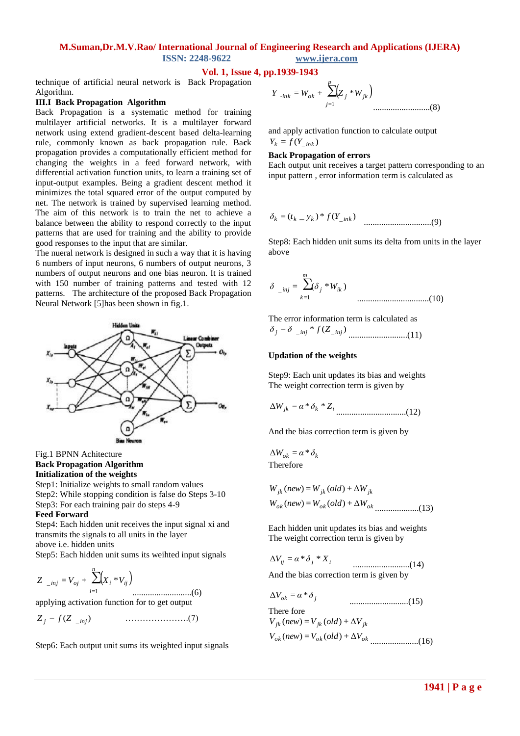## **Vol. 1, Issue 4, pp.1939-1943**

technique of artificial neural network is Back Propagation Algorithm.

#### **III.I Back Propagation Algorithm**

Back Propagation is a systematic method for training multilayer artificial networks. It is a multilayer forward network using extend gradient-descent based delta-learning rule, commonly known as back propagation rule. Ba**c**k propagation provides a computationally efficient method for changing the weights in a feed forward network, with differential activation function units, to learn a training set of input-output examples. Being a gradient descent method it minimizes the total squared error of the output computed by net. The network is trained by supervised learning method. The aim of this network is to train the net to achieve a balance between the ability to respond correctly to the input patterns that are used for training and the ability to provide good responses to the input that are similar.

The nueral network is designed in such a way that it is having 6 numbers of input neurons, 6 numbers of output neurons, 3 numbers of output neurons and one bias neuron. It is trained with 150 number of training patterns and tested with 12 patterns. The architecture of the proposed Back Propagation Neural Network [5]has been shown in fig.1.



Fig.1 BPNN Achitecture **Back Propagation Algorithm Initialization of the weights**

Step1: Initialize weights to small random values Step2: While stopping condition is false do Steps 3-10 Step3: For each training pair do steps 4-9

#### **Feed Forward**

Step4: Each hidden unit receives the input signal xi and transmits the signals to all units in the layer above i.e. hidden units

Step5: Each hidden unit sums its weihted input signals

$$
Z_{\text{inj}} = V_{oj} + \sum_{i=1}^{n} (X_i * V_{ij})
$$
.................(6)

applying activation function for to get output

= ( ) *<sup>j</sup> Z* \_*inj Z f* ………………….(7)

Step6: Each output unit sums its weighted input signals

$$
Y_{-ink} = W_{ok} + \sum_{j=1}^{p} (Z_j * W_{jk})
$$
.................(8)

and apply activation function to calculate output  $Y_k = f(Y_{ink})$ 

#### **Back Propagation of errors**

Each output unit receives a target pattern corresponding to an input pattern , error information term is calculated as

$$
\delta_k = (t_{k-} y_k)^* f(Y_{ink})
$$
 ....... (9)

Step8: Each hidden unit sums its delta from units in the layer above

$$
\delta_{\text{inj}} = \sum_{k=1}^{m} (\delta_j * W_{ik})
$$
 (10)

The error information term is calculated as = \* ( ) *<sup>j</sup>* \_ *inj Z*\_ *inj δ δ f* ...........................(11)

#### **Updation of the weights**

Step9: Each unit updates its bias and weights The weight correction term is given by

$$
\Delta W_{jk} = \alpha * \delta_k * Z_i
$$
.................(12)

And the bias correction term is given by

 $\Delta W_{ok} = \alpha * \delta_k$ Therefore

$$
W_{jk} (new) = W_{jk} (old) + \Delta W_{jk}
$$
  
 
$$
W_{ok} (new) = W_{ok} (old) + \Delta W_{ok}
$$
.................(13)

Each hidden unit updates its bias and weights The weight correction term is given by

$$
\Delta V_{ij} = \alpha * \delta_j * X_i
$$
\n
$$
\dots
$$
\nAnd the bias correction term is given by

 $\Delta V_{ok} = \alpha * \delta_i$  ...........................(15) There fore *ok ok ok V new V old V* ( ) = ( ) + Δ ......................(16) $V_{jk}$  (new) =  $V_{jk}$  (old) +  $\Delta V_{jk}$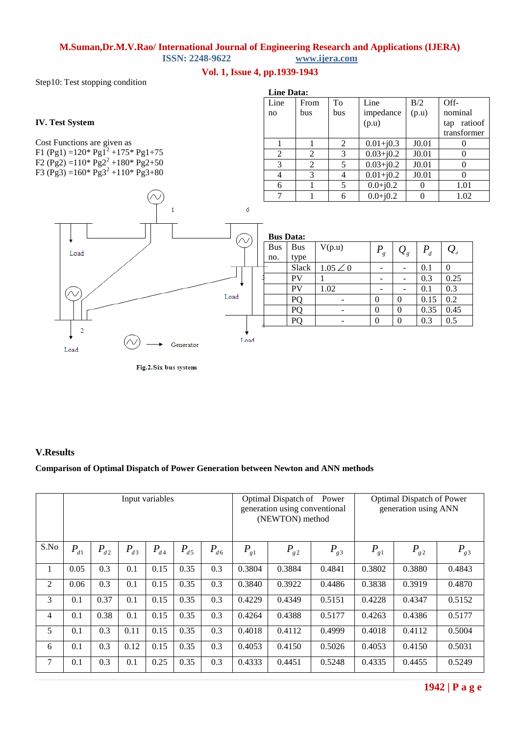## **Vol. 1, Issue 4, pp.1939-1943**

Step10: Test stopping condition

## **IV. Test System**

Cost Functions are given as F1 (Pg1) =  $120*$  Pg1<sup>2</sup> +  $175*$  Pg1+75 F2 (Pg2) =  $110*$  Pg2<sup>2</sup> +  $180*$  Pg2+50 F3 (Pg3) =160\* Pg3<sup>2</sup> +110\* Pg3+80



Fig.2. Six bus system

| <b>Line Data:</b> |      |     |               |       |                |  |  |  |  |
|-------------------|------|-----|---------------|-------|----------------|--|--|--|--|
| Line              | From | To  | Line          | B/2   | $Off$ -        |  |  |  |  |
| no                | bus  | bus | impedance     | (p.u) | nominal        |  |  |  |  |
|                   |      |     | (p.u)         |       | ratioof<br>tap |  |  |  |  |
|                   |      |     |               |       | transformer    |  |  |  |  |
|                   |      | 2   | $0.01 + j0.3$ | J0.01 |                |  |  |  |  |
| $\mathfrak{D}$    | 2    | 3   | $0.03 + j0.2$ | J0.01 | $\theta$       |  |  |  |  |
| 3                 | 2    | 5   | $0.03 + j0.2$ | J0.01 | 0              |  |  |  |  |
|                   | 3    | 4   | $0.01 + j0.2$ | J0.01 |                |  |  |  |  |
| 6                 |      | 5   | $0.0 + j0.2$  |       | 1.01           |  |  |  |  |
|                   |      | 6   | $0.0 + j0.2$  |       | 1.02           |  |  |  |  |

| <b>Bus Data:</b> |            |                 |         |                            |       |                                      |  |  |  |
|------------------|------------|-----------------|---------|----------------------------|-------|--------------------------------------|--|--|--|
| <b>Bus</b>       | <b>Bus</b> | V(p.u)          | $P_{g}$ | $\mathcal{Q}_{\mathrm{g}}$ | $P_d$ | $\mathcal{Q}_{\scriptscriptstyle d}$ |  |  |  |
| no.              | type       |                 |         |                            |       |                                      |  |  |  |
|                  | Slack      | $1.05 \angle 0$ |         |                            | 0.1   |                                      |  |  |  |
|                  | PV         |                 |         |                            | 0.3   | 0.25                                 |  |  |  |
|                  | PV         | 1.02            |         |                            | 0.1   | 0.3                                  |  |  |  |
|                  |            |                 |         |                            | 0.15  | 0.2                                  |  |  |  |
|                  |            |                 | 0       | 0                          | 0.35  | 0.45                                 |  |  |  |
|                  |            |                 |         |                            | 0.3   | 0.5                                  |  |  |  |
|                  |            |                 |         |                            |       |                                      |  |  |  |

## **V.Results**

## **Comparison of Optimal Dispatch of Power Generation between Newton and ANN methods**

|      | Input variables |          |          |          |          | Optimal Dispatch of<br>Power<br>generation using conventional<br>(NEWTON) method |          |          | Optimal Dispatch of Power<br>generation using ANN |          |          |          |
|------|-----------------|----------|----------|----------|----------|----------------------------------------------------------------------------------|----------|----------|---------------------------------------------------|----------|----------|----------|
| S.No | $P_{d1}$        | $P_{d2}$ | $P_{d3}$ | $P_{d4}$ | $P_{d5}$ | $P_{d6}$                                                                         | $P_{g1}$ | $P_{g2}$ | $P_{g3}$                                          | $P_{g1}$ | $P_{g2}$ | $P_{g3}$ |
| 1    | 0.05            | 0.3      | 0.1      | 0.15     | 0.35     | 0.3                                                                              | 0.3804   | 0.3884   | 0.4841                                            | 0.3802   | 0.3880   | 0.4843   |
| 2    | 0.06            | 0.3      | 0.1      | 0.15     | 0.35     | 0.3                                                                              | 0.3840   | 0.3922   | 0.4486                                            | 0.3838   | 0.3919   | 0.4870   |
| 3    | 0.1             | 0.37     | 0.1      | 0.15     | 0.35     | 0.3                                                                              | 0.4229   | 0.4349   | 0.5151                                            | 0.4228   | 0.4347   | 0.5152   |
| 4    | 0.1             | 0.38     | 0.1      | 0.15     | 0.35     | 0.3                                                                              | 0.4264   | 0.4388   | 0.5177                                            | 0.4263   | 0.4386   | 0.5177   |
| 5    | 0.1             | 0.3      | 0.11     | 0.15     | 0.35     | 0.3                                                                              | 0.4018   | 0.4112   | 0.4999                                            | 0.4018   | 0.4112   | 0.5004   |
| 6    | 0.1             | 0.3      | 0.12     | 0.15     | 0.35     | 0.3                                                                              | 0.4053   | 0.4150   | 0.5026                                            | 0.4053   | 0.4150   | 0.5031   |
| 7    | 0.1             | 0.3      | 0.1      | 0.25     | 0.35     | 0.3                                                                              | 0.4333   | 0.4451   | 0.5248                                            | 0.4335   | 0.4455   | 0.5249   |